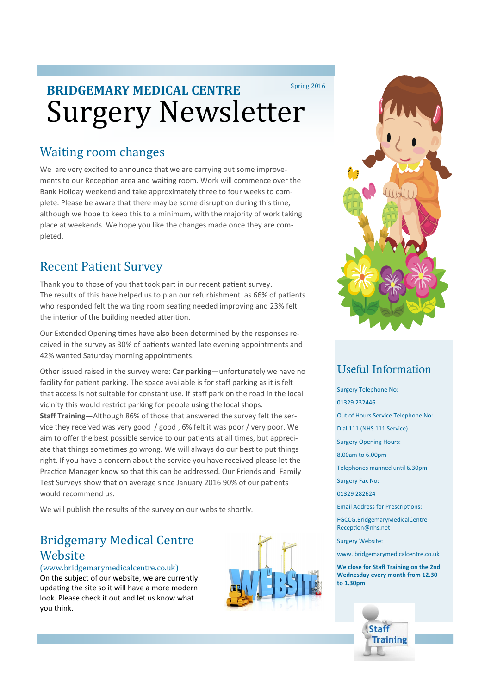# Surgery Newsletter **BRIDGEMARY MEDICAL CENTRE** Spring 2016

## Waiting room changes

We are very excited to announce that we are carrying out some improvements to our Reception area and waiting room. Work will commence over the Bank Holiday weekend and take approximately three to four weeks to complete. Please be aware that there may be some disruption during this time, although we hope to keep this to a minimum, with the majority of work taking place at weekends. We hope you like the changes made once they are completed.

## Recent Patient Survey

Thank you to those of you that took part in our recent patient survey. The results of this have helped us to plan our refurbishment as 66% of patients who responded felt the waiting room seating needed improving and 23% felt the interior of the building needed attention.

Our Extended Opening times have also been determined by the responses received in the survey as 30% of patients wanted late evening appointments and 42% wanted Saturday morning appointments.

Other issued raised in the survey were: **Car parking**—unfortunately we have no facility for patient parking. The space available is for staff parking as it is felt that access is not suitable for constant use. If staff park on the road in the local vicinity this would restrict parking for people using the local shops.

**Staff Training—**Although 86% of those that answered the survey felt the service they received was very good / good , 6% felt it was poor / very poor. We aim to offer the best possible service to our patients at all times, but appreciate that things sometimes go wrong. We will always do our best to put things right. If you have a concern about the service you have received please let the Practice Manager know so that this can be addressed. Our Friends and Family Test Surveys show that on average since January 2016 90% of our patients would recommend us.

We will publish the results of the survey on our website shortly.

## Bridgemary Medical Centre **Website**

(www.bridgemarymedicalcentre.co.uk) On the subject of our website, we are currently updating the site so it will have a more modern look. Please check it out and let us know what you think.





## Useful Information

- Surgery Telephone No:
- 01329 232446
- Out of Hours Service Telephone No:
- Dial 111 (NHS 111 Service)
- Surgery Opening Hours:
- 8.00am to 6.00pm
- Telephones manned until 6.30pm
- Surgery Fax No:
- 01329 282624
- Email Address for Prescriptions:

FGCCG.BridgemaryMedicalCentre-Reception@nhs.net

Surgery Website:

www. bridgemarymedicalcentre.co.uk

**We close for Staff Training on the 2nd Wednesday every month from 12.30 to 1.30pm**